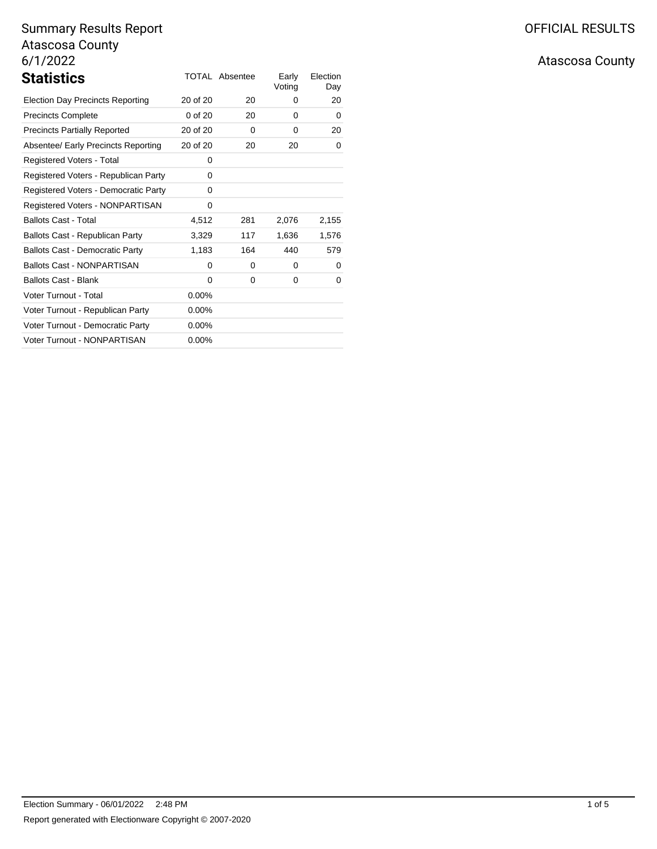| <b>Statistics</b>                       |             | TOTAL Absentee | Early<br>Voting | Election<br>Day |
|-----------------------------------------|-------------|----------------|-----------------|-----------------|
| <b>Election Day Precincts Reporting</b> | 20 of 20    | 20             | 0               | 20              |
| <b>Precincts Complete</b>               | $0$ of $20$ | 20             | 0               | 0               |
| <b>Precincts Partially Reported</b>     | 20 of 20    | 0              | 0               | 20              |
| Absentee/ Early Precincts Reporting     | 20 of 20    | 20             | 20              | 0               |
| Registered Voters - Total               | 0           |                |                 |                 |
| Registered Voters - Republican Party    | 0           |                |                 |                 |
| Registered Voters - Democratic Party    | 0           |                |                 |                 |
| Registered Voters - NONPARTISAN         | 0           |                |                 |                 |
| <b>Ballots Cast - Total</b>             | 4,512       | 281            | 2,076           | 2,155           |
| Ballots Cast - Republican Party         | 3,329       | 117            | 1,636           | 1,576           |
| <b>Ballots Cast - Democratic Party</b>  | 1,183       | 164            | 440             | 579             |
| <b>Ballots Cast - NONPARTISAN</b>       | 0           | 0              | 0               | 0               |
| <b>Ballots Cast - Blank</b>             | 0           | 0              | 0               | 0               |
| Voter Turnout - Total                   | $0.00\%$    |                |                 |                 |
| Voter Turnout - Republican Party        | $0.00\%$    |                |                 |                 |
| Voter Turnout - Democratic Party        | $0.00\%$    |                |                 |                 |
| Voter Turnout - NONPARTISAN             | $0.00\%$    |                |                 |                 |

# Atascosa County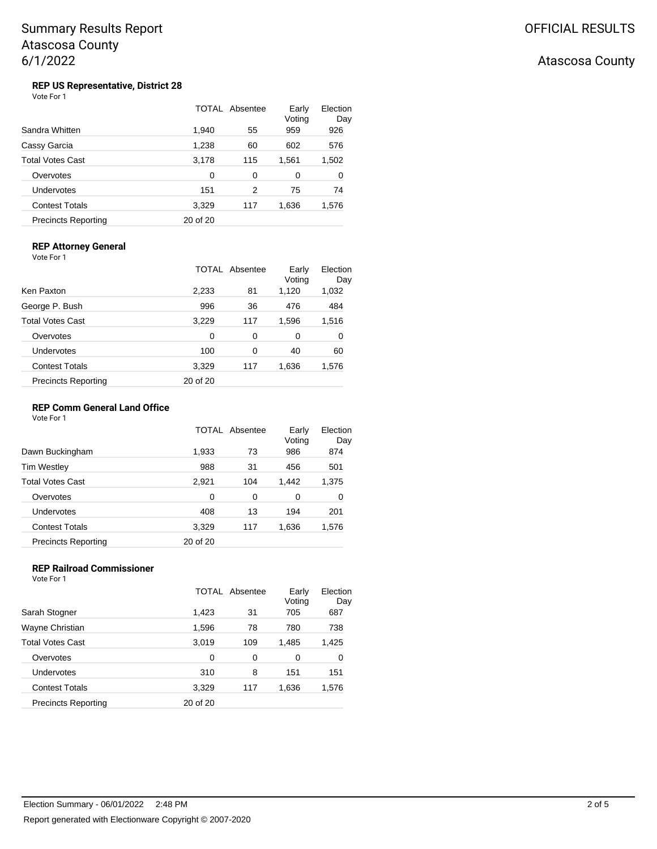## Atascosa County

#### **REP US Representative, District 28** Vote For 1

|                            |          | TOTAL Absentee | Early<br>Voting | Election<br>Day |
|----------------------------|----------|----------------|-----------------|-----------------|
| Sandra Whitten             | 1,940    | 55             | 959             | 926             |
| Cassy Garcia               | 1,238    | 60             | 602             | 576             |
| Total Votes Cast           | 3,178    | 115            | 1,561           | 1,502           |
| Overvotes                  | 0        | 0              | 0               | 0               |
| Undervotes                 | 151      | 2              | 75              | 74              |
| <b>Contest Totals</b>      | 3,329    | 117            | 1,636           | 1,576           |
| <b>Precincts Reporting</b> | 20 of 20 |                |                 |                 |

## **REP Attorney General**

Vote For 1

|                            |          | TOTAL Absentee | Early<br>Voting | Election<br>Day |
|----------------------------|----------|----------------|-----------------|-----------------|
| Ken Paxton                 | 2,233    | 81             | 1,120           | 1,032           |
| George P. Bush             | 996      | 36             | 476             | 484             |
| Total Votes Cast           | 3,229    | 117            | 1,596           | 1,516           |
| Overvotes                  | $\Omega$ | 0              | 0               | 0               |
| Undervotes                 | 100      | 0              | 40              | 60              |
| <b>Contest Totals</b>      | 3,329    | 117            | 1,636           | 1,576           |
| <b>Precincts Reporting</b> | 20 of 20 |                |                 |                 |

## **REP Comm General Land Office**

Vote For 1

|                            |          | <b>TOTAL Absentee</b> | Early<br>Voting | Election<br>Day |
|----------------------------|----------|-----------------------|-----------------|-----------------|
| Dawn Buckingham            | 1,933    | 73                    | 986             | 874             |
| Tim Westley                | 988      | 31                    | 456             | 501             |
| Total Votes Cast           | 2,921    | 104                   | 1,442           | 1,375           |
| Overvotes                  | 0        | 0                     | 0               | 0               |
| Undervotes                 | 408      | 13                    | 194             | 201             |
| <b>Contest Totals</b>      | 3,329    | 117                   | 1,636           | 1,576           |
| <b>Precincts Reporting</b> | 20 of 20 |                       |                 |                 |

### **REP Railroad Commissioner** Vote For 1

|                            |          | TOTAL Absentee | Early<br>Voting | Election<br>Day |
|----------------------------|----------|----------------|-----------------|-----------------|
| Sarah Stogner              | 1,423    | 31             | 705             | 687             |
| Wayne Christian            | 1,596    | 78             | 780             | 738             |
| Total Votes Cast           | 3,019    | 109            | 1,485           | 1,425           |
| Overvotes                  | $\Omega$ | 0              | 0               | 0               |
| Undervotes                 | 310      | 8              | 151             | 151             |
| <b>Contest Totals</b>      | 3,329    | 117            | 1,636           | 1,576           |
| <b>Precincts Reporting</b> | 20 of 20 |                |                 |                 |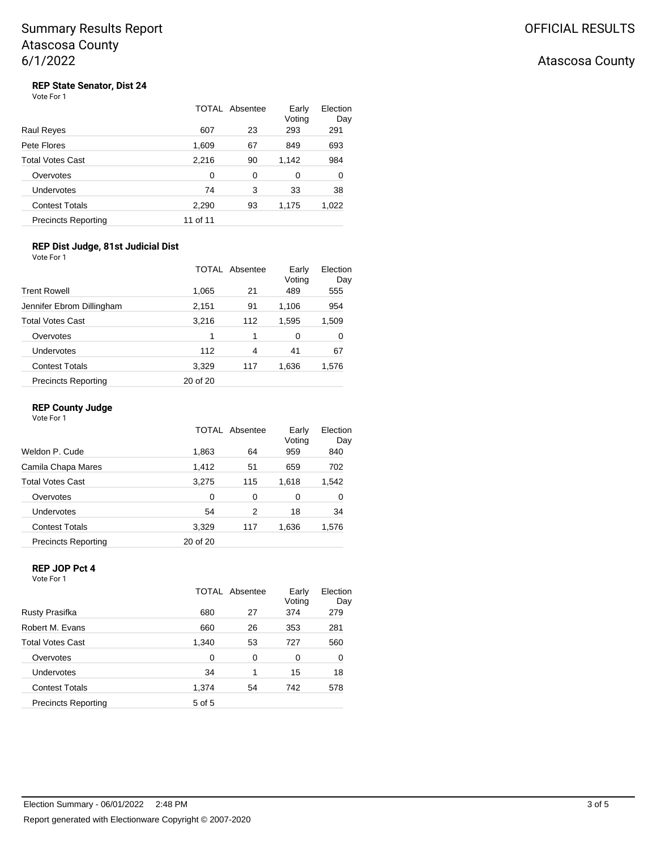# Atascosa County

# **REP State Senator, Dist 24**<br>Vote For 1

|                            |          | TOTAL Absentee | Early<br>Voting | Election<br>Day |
|----------------------------|----------|----------------|-----------------|-----------------|
| Raul Reyes                 | 607      | 23             | 293             | 291             |
| Pete Flores                | 1,609    | 67             | 849             | 693             |
| Total Votes Cast           | 2,216    | 90             | 1,142           | 984             |
| Overvotes                  | 0        | 0              | 0               | 0               |
| Undervotes                 | 74       | 3              | 33              | 38              |
| <b>Contest Totals</b>      | 2,290    | 93             | 1,175           | 1,022           |
| <b>Precincts Reporting</b> | 11 of 11 |                |                 |                 |

## **REP Dist Judge, 81st Judicial Dist**

| Vote For 1                 |          |                |                 |                 |
|----------------------------|----------|----------------|-----------------|-----------------|
|                            |          | TOTAL Absentee | Early<br>Voting | Election<br>Day |
| <b>Trent Rowell</b>        | 1,065    | 21             | 489             | 555             |
| Jennifer Ebrom Dillingham  | 2,151    | 91             | 1,106           | 954             |
| <b>Total Votes Cast</b>    | 3,216    | 112            | 1,595           | 1,509           |
| Overvotes                  | 1        | 1              | 0               | 0               |
| <b>Undervotes</b>          | 112      | 4              | 41              | 67              |
| <b>Contest Totals</b>      | 3,329    | 117            | 1,636           | 1,576           |
| <b>Precincts Reporting</b> | 20 of 20 |                |                 |                 |

## **REP County Judge**

Vote For 1

|                            |          | TOTAL Absentee | Early<br>Voting | Election<br>Day |
|----------------------------|----------|----------------|-----------------|-----------------|
| Weldon P. Cude             | 1,863    | 64             | 959             | 840             |
| Camila Chapa Mares         | 1,412    | 51             | 659             | 702             |
| <b>Total Votes Cast</b>    | 3,275    | 115            | 1.618           | 1,542           |
| Overvotes                  | $\Omega$ | 0              | 0               | 0               |
| Undervotes                 | 54       | 2              | 18              | 34              |
| <b>Contest Totals</b>      | 3,329    | 117            | 1,636           | 1,576           |
| <b>Precincts Reporting</b> | 20 of 20 |                |                 |                 |

## **REP JOP Pct 4**

Vote For 1

|                            |        | TOTAL Absentee | Early<br>Voting | Election<br>Day |
|----------------------------|--------|----------------|-----------------|-----------------|
| Rusty Prasifka             | 680    | 27             | 374             | 279             |
| Robert M. Evans            | 660    | 26             | 353             | 281             |
| <b>Total Votes Cast</b>    | 1,340  | 53             | 727             | 560             |
| Overvotes                  | 0      | 0              | 0               | 0               |
| Undervotes                 | 34     | 1              | 15              | 18              |
| <b>Contest Totals</b>      | 1.374  | 54             | 742             | 578             |
| <b>Precincts Reporting</b> | 5 of 5 |                |                 |                 |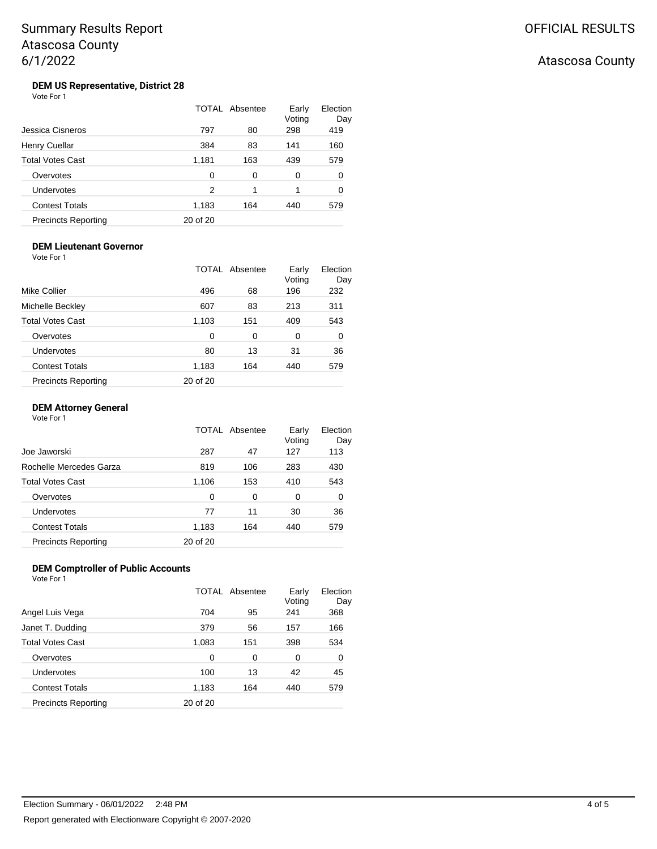# Atascosa County

#### **DEM US Representative, District 28** Vote For 1

|                            |          | TOTAL Absentee | Early<br>Voting | Election<br>Day |
|----------------------------|----------|----------------|-----------------|-----------------|
| Jessica Cisneros           | 797      | 80             | 298             | 419             |
| Henry Cuellar              | 384      | 83             | 141             | 160             |
| <b>Total Votes Cast</b>    | 1,181    | 163            | 439             | 579             |
| Overvotes                  | 0        | 0              | 0               | 0               |
| Undervotes                 | 2        | 1              | 1               | 0               |
| <b>Contest Totals</b>      | 1,183    | 164            | 440             | 579             |
| <b>Precincts Reporting</b> | 20 of 20 |                |                 |                 |

#### **DEM Lieutenant Governor** Vote For 1

|                            |          | <b>TOTAL Absentee</b> | Early<br>Voting | Election<br>Day |
|----------------------------|----------|-----------------------|-----------------|-----------------|
| Mike Collier               | 496      | 68                    | 196             | 232             |
| Michelle Beckley           | 607      | 83                    | 213             | 311             |
| Total Votes Cast           | 1,103    | 151                   | 409             | 543             |
| Overvotes                  | 0        | 0                     | 0               | 0               |
| Undervotes                 | 80       | 13                    | 31              | 36              |
| <b>Contest Totals</b>      | 1,183    | 164                   | 440             | 579             |
| <b>Precincts Reporting</b> | 20 of 20 |                       |                 |                 |

## **DEM Attorney General**

Vote For 1

|                            | TOTAL    | Absentee | Early<br>Voting | Election<br>Day |
|----------------------------|----------|----------|-----------------|-----------------|
| Joe Jaworski               | 287      | 47       | 127             | 113             |
| Rochelle Mercedes Garza    | 819      | 106      | 283             | 430             |
| <b>Total Votes Cast</b>    | 1,106    | 153      | 410             | 543             |
| Overvotes                  | $\Omega$ | 0        | 0               | 0               |
| Undervotes                 | 77       | 11       | 30              | 36              |
| <b>Contest Totals</b>      | 1,183    | 164      | 440             | 579             |
| <b>Precincts Reporting</b> | 20 of 20 |          |                 |                 |

## **DEM Comptroller of Public Accounts** Vote For 1

|                            |          | TOTAL Absentee | Early<br>Voting | Election<br>Day |
|----------------------------|----------|----------------|-----------------|-----------------|
| Angel Luis Vega            | 704      | 95             | 241             | 368             |
| Janet T. Dudding           | 379      | 56             | 157             | 166             |
| <b>Total Votes Cast</b>    | 1,083    | 151            | 398             | 534             |
| Overvotes                  | $\Omega$ | 0              | 0               | 0               |
| Undervotes                 | 100      | 13             | 42              | 45              |
| <b>Contest Totals</b>      | 1,183    | 164            | 440             | 579             |
| <b>Precincts Reporting</b> | 20 of 20 |                |                 |                 |